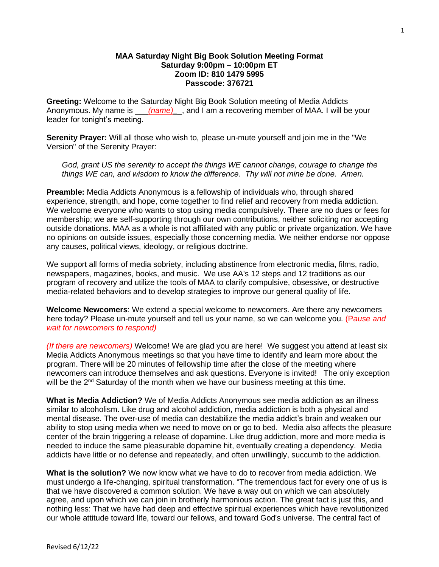## **MAA Saturday Night Big Book Solution Meeting Format Saturday 9:00pm – 10:00pm ET Zoom ID: 810 1479 5995 Passcode: 376721**

**Greeting:** Welcome to the Saturday Night Big Book Solution meeting of Media Addicts Anonymous. My name is *(name)*, and I am a recovering member of MAA. I will be your leader for tonight's meeting.

**Serenity Prayer:** Will all those who wish to, please un-mute yourself and join me in the "We Version" of the Serenity Prayer:

*God, grant US the serenity to accept the things WE cannot change, courage to change the things WE can, and wisdom to know the difference. Thy will not mine be done. Amen.*

**Preamble:** Media Addicts Anonymous is a fellowship of individuals who, through shared experience, strength, and hope, come together to find relief and recovery from media addiction. We welcome everyone who wants to stop using media compulsively. There are no dues or fees for membership; we are self-supporting through our own contributions, neither soliciting nor accepting outside donations. MAA as a whole is not affiliated with any public or private organization. We have no opinions on outside issues, especially those concerning media. We neither endorse nor oppose any causes, political views, ideology, or religious doctrine.

We support all forms of media sobriety, including abstinence from electronic media, films, radio, newspapers, magazines, books, and music. We use AA's 12 steps and 12 traditions as our program of recovery and utilize the tools of MAA to clarify compulsive, obsessive, or destructive media-related behaviors and to develop strategies to improve our general quality of life.

**Welcome Newcomers**: We extend a special welcome to newcomers. Are there any newcomers here today? Please un-mute yourself and tell us your name, so we can welcome you. (P*ause and wait for newcomers to respond)*

*(If there are newcomers)* Welcome! We are glad you are here! We suggest you attend at least six Media Addicts Anonymous meetings so that you have time to identify and learn more about the program. There will be 20 minutes of fellowship time after the close of the meeting where newcomers can introduce themselves and ask questions. Everyone is invited! The only exception will be the  $2<sup>nd</sup>$  Saturday of the month when we have our business meeting at this time.

**What is Media Addiction?** We of Media Addicts Anonymous see media addiction as an illness similar to alcoholism. Like drug and alcohol addiction, media addiction is both a physical and mental disease. The over-use of media can destabilize the media addict's brain and weaken our ability to stop using media when we need to move on or go to bed. Media also affects the pleasure center of the brain triggering a release of dopamine. Like drug addiction, more and more media is needed to induce the same pleasurable dopamine hit, eventually creating a dependency. Media addicts have little or no defense and repeatedly, and often unwillingly, succumb to the addiction.

**What is the solution?** We now know what we have to do to recover from media addiction. We must undergo a life-changing, spiritual transformation. "The tremendous fact for every one of us is that we have discovered a common solution. We have a way out on which we can absolutely agree, and upon which we can join in brotherly harmonious action. The great fact is just this, and nothing less: That we have had deep and effective spiritual experiences which have revolutionized our whole attitude toward life, toward our fellows, and toward God's universe. The central fact of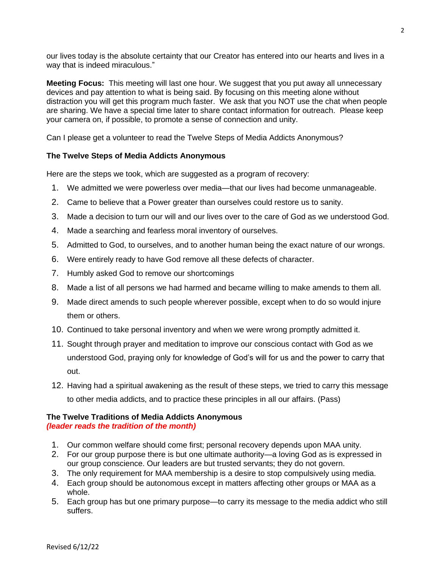our lives today is the absolute certainty that our Creator has entered into our hearts and lives in a way that is indeed miraculous."

**Meeting Focus:** This meeting will last one hour. We suggest that you put away all unnecessary devices and pay attention to what is being said. By focusing on this meeting alone without distraction you will get this program much faster. We ask that you NOT use the chat when people are sharing. We have a special time later to share contact information for outreach. Please keep your camera on, if possible, to promote a sense of connection and unity.

Can I please get a volunteer to read the Twelve Steps of Media Addicts Anonymous?

# **The Twelve Steps of Media Addicts Anonymous**

Here are the steps we took, which are suggested as a program of recovery:

- 1. We admitted we were powerless over media—that our lives had become unmanageable.
- 2. Came to believe that a Power greater than ourselves could restore us to sanity.
- 3. Made a decision to turn our will and our lives over to the care of God as we understood God.
- 4. Made a searching and fearless moral inventory of ourselves.
- 5. Admitted to God, to ourselves, and to another human being the exact nature of our wrongs.
- 6. Were entirely ready to have God remove all these defects of character.
- 7. Humbly asked God to remove our shortcomings
- 8. Made a list of all persons we had harmed and became willing to make amends to them all.
- 9. Made direct amends to such people wherever possible, except when to do so would injure them or others.
- 10. Continued to take personal inventory and when we were wrong promptly admitted it.
- 11. Sought through prayer and meditation to improve our conscious contact with God as we understood God, praying only for knowledge of God's will for us and the power to carry that out.
- 12. Having had a spiritual awakening as the result of these steps, we tried to carry this message to other media addicts, and to practice these principles in all our affairs. (Pass)

#### **The Twelve Traditions of Media Addicts Anonymous** *(leader reads the tradition of the month)*

- 1. Our common welfare should come first; personal recovery depends upon MAA unity.
- 2. For our group purpose there is but one ultimate authority—a loving God as is expressed in our group conscience. Our leaders are but trusted servants; they do not govern.
- 3. The only requirement for MAA membership is a desire to stop compulsively using media.
- 4. Each group should be autonomous except in matters affecting other groups or MAA as a whole.
- 5. Each group has but one primary purpose—to carry its message to the media addict who still suffers.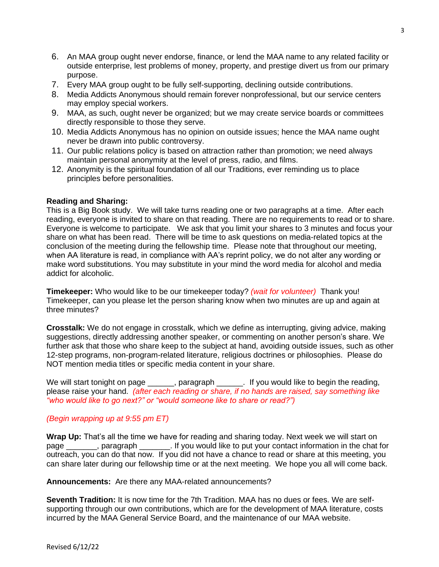- 6. An MAA group ought never endorse, finance, or lend the MAA name to any related facility or outside enterprise, lest problems of money, property, and prestige divert us from our primary purpose.
- 7. Every MAA group ought to be fully self-supporting, declining outside contributions.
- 8. Media Addicts Anonymous should remain forever nonprofessional, but our service centers may employ special workers.
- 9. MAA, as such, ought never be organized; but we may create service boards or committees directly responsible to those they serve.
- 10. Media Addicts Anonymous has no opinion on outside issues; hence the MAA name ought never be drawn into public controversy.
- 11. Our public relations policy is based on attraction rather than promotion; we need always maintain personal anonymity at the level of press, radio, and films.
- 12. Anonymity is the spiritual foundation of all our Traditions, ever reminding us to place principles before personalities.

## **Reading and Sharing:**

This is a Big Book study. We will take turns reading one or two paragraphs at a time. After each reading, everyone is invited to share on that reading. There are no requirements to read or to share. Everyone is welcome to participate. We ask that you limit your shares to 3 minutes and focus your share on what has been read. There will be time to ask questions on media-related topics at the conclusion of the meeting during the fellowship time. Please note that throughout our meeting, when AA literature is read, in compliance with AA's reprint policy, we do not alter any wording or make word substitutions. You may substitute in your mind the word media for alcohol and media addict for alcoholic.

**Timekeeper:** Who would like to be our timekeeper today? *(wait for volunteer)* Thank you! Timekeeper, can you please let the person sharing know when two minutes are up and again at three minutes?

**Crosstalk:** We do not engage in crosstalk, which we define as interrupting, giving advice, making suggestions, directly addressing another speaker, or commenting on another person's share. We further ask that those who share keep to the subject at hand, avoiding outside issues, such as other 12-step programs, non-program-related literature, religious doctrines or philosophies. Please do NOT mention media titles or specific media content in your share.

We will start tonight on page \_\_\_\_\_, paragraph \_\_\_\_\_. If you would like to begin the reading, please raise your hand. *(after each reading or share, if no hands are raised, say something like "who would like to go next?" or "would someone like to share or read?")*

# *(Begin wrapping up at 9:55 pm ET)*

**Wrap Up:** That's all the time we have for reading and sharing today. Next week we will start on page extending paragraph . If you would like to put your contact information in the chat for outreach, you can do that now. If you did not have a chance to read or share at this meeting, you can share later during our fellowship time or at the next meeting. We hope you all will come back.

## **Announcements:** Are there any MAA-related announcements?

**Seventh Tradition:** It is now time for the 7th Tradition. MAA has no dues or fees. We are selfsupporting through our own contributions, which are for the development of MAA literature, costs incurred by the MAA General Service Board, and the maintenance of our MAA website.